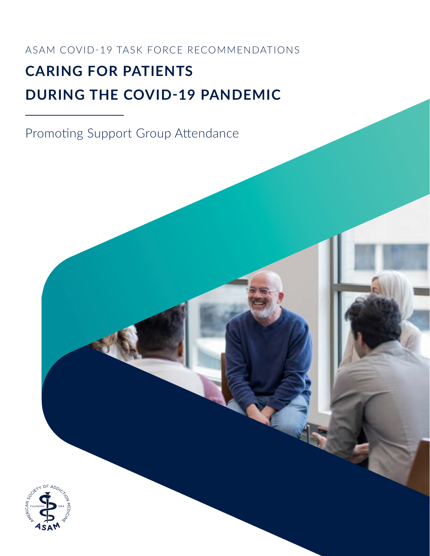ASAM COVID-19 TASK FORCE RECOMMENDATIONS

# **CARING FOR PATIENTS DURING THE COVID-19 PANDEMIC**

Promoting Support Group Attendance

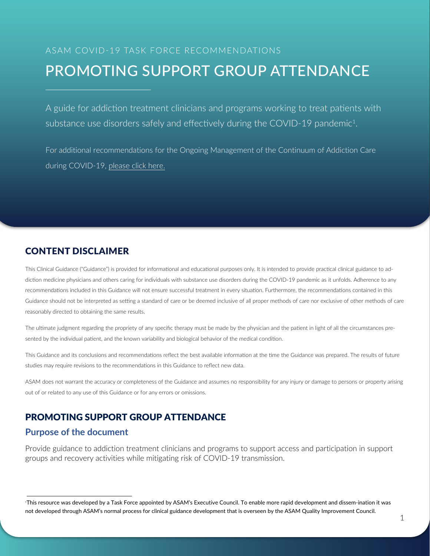# ASAM COVID-19 TASK FORCE RECOMMENDATIONS PROMOTING SUPPORT GROUP ATTENDANCE

A guide for addiction treatment clinicians and programs working to treat patients with substance use disorders safely and effectively during the COVID-19 pandemic<sup>1</sup>.

For additional recommendations for the Ongoing Management of the Continuum of Addiction Care during COVID-19, [please click here.](https://www.asam.org/Quality-Science/covid-19-coronavirus/covid-19-task-force-recommendations/)

# CONTENT DISCLAIMER

This Clinical Guidance ("Guidance") is provided for informational and educational purposes only. It is intended to provide practical clinical guidance to addiction medicine physicians and others caring for individuals with substance use disorders during the COVID-19 pandemic as it unfolds. Adherence to any recommendations included in this Guidance will not ensure successful treatment in every situation. Furthermore, the recommendations contained in this Guidance should not be interpreted as setting a standard of care or be deemed inclusive of all proper methods of care nor exclusive of other methods of care reasonably directed to obtaining the same results.

The ultimate judgment regarding the propriety of any specific therapy must be made by the physician and the patient in light of all the circumstances presented by the individual patient, and the known variability and biological behavior of the medical condition.

This Guidance and its conclusions and recommendations reflect the best available information at the time the Guidance was prepared. The results of future studies may require revisions to the recommendations in this Guidance to reflect new data.

ASAM does not warrant the accuracy or completeness of the Guidance and assumes no responsibility for any injury or damage to persons or property arising out of or related to any use of this Guidance or for any errors or omissions.

# PROMOTING SUPPORT GROUP ATTENDANCE

# **Purpose of the document**

Provide guidance to addiction treatment clinicians and programs to support access and participation in support groups and recovery activities while mitigating risk of COVID-19 transmission.

<sup>1</sup>This resource was developed by a Task Force appointed by ASAM's Executive Council. To enable more rapid development and dissem-ination it was not developed through ASAM's normal process for clinical guidance development that is overseen by the ASAM Quality Improvement Council.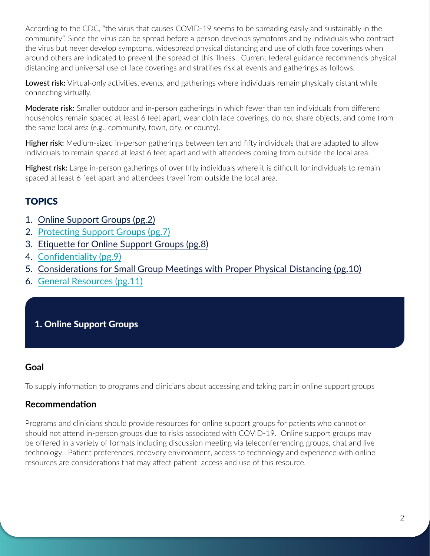According to the CDC, "the virus that causes COVID-19 seems to be spreading easily and sustainably in the community". Since the virus can be spread before a person develops symptoms and by individuals who contract the virus but never develop symptoms, widespread physical distancing and use of cloth face coverings when around others are indicated to prevent the spread of this illness . Current federal guidance recommends physical distancing and universal use of face coverings and stratifies risk at events and gatherings as follows:

Lowest risk: Virtual-only activities, events, and gatherings where individuals remain physically distant while connecting virtually.

Moderate risk: Smaller outdoor and in-person gatherings in which fewer than ten individuals from different households remain spaced at least 6 feet apart, wear cloth face coverings, do not share objects, and come from the same local area (e.g., community, town, city, or county).

Higher risk: Medium-sized in-person gatherings between ten and fifty individuals that are adapted to allow individuals to remain spaced at least 6 feet apart and with attendees coming from outside the local area.

Highest risk: Large in-person gatherings of over fifty individuals where it is difficult for individuals to remain spaced at least 6 feet apart and attendees travel from outside the local area.

# **TOPICS**

- 1. [Online Support Groups \(pg.2\)](#page-2-0)
- 2. [Protecting Support Groups \(pg.7\)](#page-7-0)
- 3. [Etiquette for Online Support Groups \(pg.8\)](#page-8-0)
- 4. [Confidentiality \(pg.9\)](#page-9-0)
- 5. [Considerations for Small Group Meetings with Proper Physical Distancing \(pg.10\)](#page-10-0)
- 6. [General Resources \(pg.11\)](#page-11-0)

# <span id="page-2-0"></span>1. Online Support Groups

# **Goal**

To supply information to programs and clinicians about accessing and taking part in online support groups

# **Recommendation**

Programs and clinicians should provide resources for online support groups for patients who cannot or should not attend in-person groups due to risks associated with COVID-19. Online support groups may be offered in a variety of formats including discussion meeting via teleconferrencing groups, chat and live technology. Patient preferences, recovery environment, access to technology and experience with online resources are considerations that may affect patient access and use of this resource.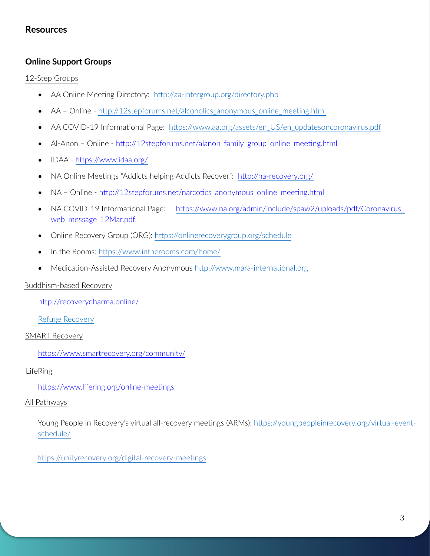# **Resources**

### **Online Support Groups**

#### 12-Step Groups

- AA Online Meeting Directory: [http://aa-intergroup.org/directory.php](https://nam12.safelinks.protection.outlook.com/?url=http%3A%2F%2Faa-intergroup.org%2Fdirectory.php&data=02%7C01%7Ccbacker%40ismanet.org%7Cb3bda11bd2ab4cc24c9b08d7c9b95ebf%7C6ae61a81794148248fc34b9173e44561%7C0%7C1%7C637199670316977222&sdata=vZsfD3Rr4eRHyHMnm1x5QfX3rv6sCDWfeAIlL08OGsQ%3D&reserved=0)
- AA Online - [http://12stepforums.net/alcoholics\\_anonymous\\_online\\_meeting.html](https://nam12.safelinks.protection.outlook.com/?url=http%3A%2F%2F12stepforums.net%2Falcoholics_anonymous_online_meeting.html&data=02%7C01%7Ccbacker%40ismanet.org%7Cb3bda11bd2ab4cc24c9b08d7c9b95ebf%7C6ae61a81794148248fc34b9173e44561%7C0%7C1%7C637199670316977222&sdata=%2BYDQThIG4MN4%2BZpzJFMqv1yIJzsJrtQHbJ2wuvTyzIg%3D&reserved=0)
- AA COVID-19 Informational Page: [https://www.aa.org/assets/en\\_US/en\\_updatesoncoronavirus.pdf](https://nam12.safelinks.protection.outlook.com/?url=https%3A%2F%2Fwww.aa.org%2Fassets%2Fen_US%2Fen_updatesoncoronavirus.pdf&data=02%7C01%7Ccbacker%40ismanet.org%7Cb3bda11bd2ab4cc24c9b08d7c9b95ebf%7C6ae61a81794148248fc34b9173e44561%7C0%7C1%7C637199670316987214&sdata=D8FlOI80lmDXAjee%2F62qyjT%2BIfDFxi0LOCMZwHcKQ9Y%3D&reserved=0)
- Al-Anon Online - [http://12stepforums.net/alanon\\_family\\_group\\_online\\_meeting.html](https://nam12.safelinks.protection.outlook.com/?url=http%3A%2F%2F12stepforums.net%2Falanon_family_group_online_meeting.html&data=02%7C01%7Ccbacker%40ismanet.org%7Cb3bda11bd2ab4cc24c9b08d7c9b95ebf%7C6ae61a81794148248fc34b9173e44561%7C0%7C1%7C637199670316987214&sdata=3QtvUzhtjzBmcIZjASxSewY%2FwUVBmRrkC29CyscG7Fc%3D&reserved=0)
- IDAA <https://www.idaa.org/>
- NA Online Meetings "Addicts helping Addicts Recover": [http://na-recovery.org/](https://nam12.safelinks.protection.outlook.com/?url=http%3A%2F%2Fna-recovery.org%2F&data=02%7C01%7Ccbacker%40ismanet.org%7Cb3bda11bd2ab4cc24c9b08d7c9b95ebf%7C6ae61a81794148248fc34b9173e44561%7C0%7C1%7C637199670317017200&sdata=iOjzTIPAE86WASI0kJ3IkjxSeGfsNuIOpWkQ8Q1hODQ%3D&reserved=0)
- NA Online - [http://12stepforums.net/narcotics\\_anonymous\\_online\\_meeting.html](https://nam12.safelinks.protection.outlook.com/?url=http%3A%2F%2F12stepforums.net%2Fnarcotics_anonymous_online_meeting.html&data=02%7C01%7Ccbacker%40ismanet.org%7Cb3bda11bd2ab4cc24c9b08d7c9b95ebf%7C6ae61a81794148248fc34b9173e44561%7C0%7C1%7C637199670317017200&sdata=XVjk3ETg%2FDayLS8SVEkeGWpbUAh5F3iPXoon3i1PXqI%3D&reserved=0)
- NA COVID-19 Informational Page: https://www.na.org/admin/include/spaw2/uploads/pdf/Coronavirus [web\\_message\\_12Mar.pdf](https://nam12.safelinks.protection.outlook.com/?url=https%3A%2F%2Fwww.na.org%2Fadmin%2Finclude%2Fspaw2%2Fuploads%2Fpdf%2FCoronavirus_web_message_12Mar.pdf&data=02%7C01%7Ccbacker%40ismanet.org%7Cb3bda11bd2ab4cc24c9b08d7c9b95ebf%7C6ae61a81794148248fc34b9173e44561%7C0%7C1%7C637199670317027199&sdata=vAT5BEjP2cO5wlQYnnPh2O0%2Bm9xIqtqmCqkfsWzflxY%3D&reserved=0)
- Online Recovery Group (ORG): <https://onlinerecoverygroup.org/schedule>
- In the Rooms: <https://www.intherooms.com/home/>
- Medication-Assisted Recovery Anonymous http://www.mara-international.org

### Buddhism-based Recovery

[http://recoverydharma.online/](https://nam12.safelinks.protection.outlook.com/?url=http%3A%2F%2Frecoverydharma.online%2F&data=02%7C01%7Ccbacker%40ismanet.org%7Cb3bda11bd2ab4cc24c9b08d7c9b95ebf%7C6ae61a81794148248fc34b9173e44561%7C0%7C1%7C637199670317027199&sdata=gcIhhnGPcPvmoX0lePfaJJa7Azuai%2F83ZYjVP7YNWAw%3D&reserved=0)

Refuge Recovery

#### SMART Recovery

[https://www.smartrecovery.org/community/](https://nam12.safelinks.protection.outlook.com/?url=https%3A%2F%2Fwww.smartrecovery.org%2Fcommunity%2F&data=02%7C01%7Ccbacker%40ismanet.org%7Cb3bda11bd2ab4cc24c9b08d7c9b95ebf%7C6ae61a81794148248fc34b9173e44561%7C0%7C0%7C637199670317037190&sdata=3RTfF%2BZ7gxCTVgDUPO5hraH%2FL0PJiqeF%2B7%2FTd9uxoYs%3D&reserved=0)

#### LifeRing

[https://www.](https://refugerecovery.org/meetings?tsml-day=any&tsml-region=online-english)lifering.org/online-meetings

### All Pathways

Young People in Recovery's virtual all-recovery meetings (ARMs): https://youngpeopleinrecovery.org/virtual-eventschedule/

https://unityrecovery.org/digital-recovery-meetings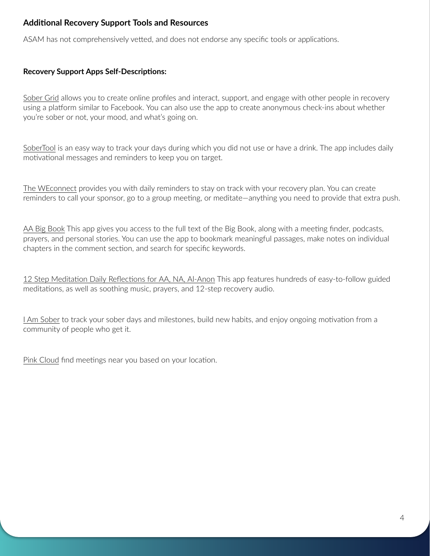# **Additional Recovery Support Tools and Resources**

ASAM has not comprehensively vetted, and does not endorse any specific tools or applications.

### **Recovery Support Apps Self-Descriptions:**

Sober Grid allows you to create online profiles and interact, support, and engage with other people in recovery using a platform similar to Facebook. You can also use the app to create anonymous check-ins about whether you're sober or not, your mood, and what's going on.

[SoberTool](http://www.sobertool.com/) is an easy way to track your days during which you did not use or have a drink. The app includes daily motivational messages and reminders to keep you on target.

The WEconnect provides you with daily reminders to stay on track with your recovery plan. You can create reminders to call your sponsor, go to a group meeting, or meditate—anything you need to provide that extra push.

AA Big Book This app gives you access to the full text of the Big Book, along with a meeting finder, podcasts, prayers, and personal stories. You can use the app to bookmark meaningful passages, make notes on individual chapters in the comment section, and search for specific keywords.

12 Step Meditation Daily Reflections for AA, NA, Al-Anon This app features hundreds of easy-to-follow guided meditations, as well as soothing music, prayers, and 12-step recovery audio.

I Am Sober to track your sober days and milestones, build new habits, and enjoy ongoing motivation from a community of people who get it.

Pink Cloud find meetings near you based on your location.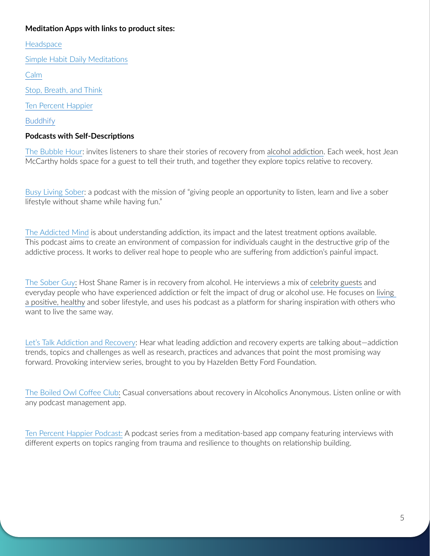### **Meditation Apps with links to product sites:**

**[Headspace](https://www.headspace.com/headspace-meditation-app)** 

[Simple Habit Daily Meditations](https://www.simplehabit.com/)

[Calm](https://www.calm.com/)

[Stop, Breath, and Think](https://www.stopbreathethink.com/)

[Ten Percent Happier](https://www.tenpercent.com/)

**[Buddhify](https://buddhify.com/)** 

### **Podcasts with Self-Descriptions**

[The Bubble Hour](https://www.blogtalkradio.com/bubblehour): invites listeners to share their stories of recovery from [alcohol addiction.](https://www.therecoveryvillage.com/alcohol-abuse/) Each week, host Jean McCarthy holds space for a guest to tell their truth, and together they explore topics relative to recovery.

[Busy Living Sober:](http://busylivingsober.com/podcasts) a podcast with the mission of "giving people an opportunity to listen, learn and live a sober lifestyle without shame while having fun."

The Addicted Mind is about understanding addiction, its impact and the latest treatment options available. This podcast aims to create an environment of compassion for individuals caught in the destructive grip of the addictive process. It works to deliver real hope to people who are suffering from addiction's painful impact.

[The Sober Guy:](http://www.thatsoberguy.com/) Host Shane Ramer is in recovery from alcohol. He interviews a mix of [celebrity guests](https://www.therecoveryvillage.com/recovery/related/7-quotes-celebrities-celebrate-sobriety/) and everyday people who have experienced addiction or felt the impact of drug or alcohol use. He focuses on [living](https://www.therecoveryvillage.com/recovery/wellness/)  [a positive, healthy](https://www.therecoveryvillage.com/recovery/wellness/) and sober lifestyle, and uses his podcast as a platform for sharing inspiration with others who want to live the same way.

[Let's Talk Addiction and Recovery](https://podcasts.apple.com/us/podcast/lets-talk-addiction-recovery/id1396520088): Hear what leading addiction and recovery experts are talking about—addiction trends, topics and challenges as well as research, practices and advances that point the most promising way forward. Provoking interview series, brought to you by Hazelden Betty Ford Foundation.

[The Boiled Owl Coffee Club:](https://podcasts.apple.com/us/podcast/boiled-owl-aa-recovery-podcast/id1223831225) Casual conversations about recovery in Alcoholics Anonymous. Listen online or with any podcast management app.

Ten Percent Happier Podcast: A podcast series from a meditation-based app company featuring interviews with different experts on topics ranging from trauma and resilience to thoughts on relationship building.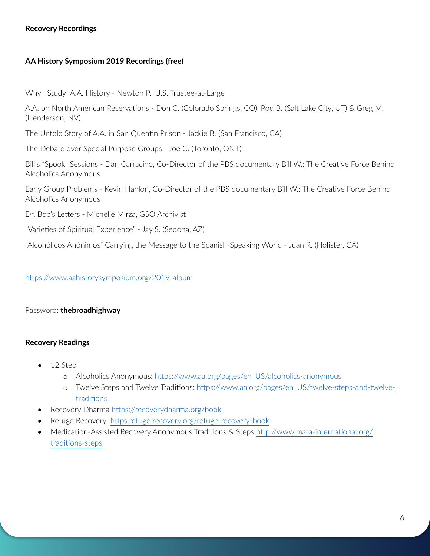### **Recovery Recordings**

### **AA History Symposium 2019 Recordings (free)**

Why I Study A.A. History - Newton P., U.S. Trustee-at-Large

A.A. on North American Reservations - Don C. (Colorado Springs, CO), Rod B. (Salt Lake City, UT) & Greg M. (Henderson, NV)

The Untold Story of A.A. in San Quentin Prison - Jackie B. (San Francisco, CA)

The Debate over Special Purpose Groups - Joe C. (Toronto, ONT)

Bill's "Spook" Sessions - Dan Carracino, Co-Director of the PBS documentary Bill W.: The Creative Force Behind Alcoholics Anonymous

Early Group Problems - Kevin Hanlon, Co-Director of the PBS documentary Bill W.: The Creative Force Behind Alcoholics Anonymous

Dr. Bob's Letters - Michelle Mirza, GSO Archivist

"Varieties of Spiritual Experience" - Jay S. (Sedona, AZ)

"Alcohólicos Anónimos" Carrying the Message to the Spanish-Speaking World - Juan R. (Holister, CA)

#### <https://www.aahistorysymposium.org/2019-album>

#### Password: **thebroadhighway**

### **Recovery Readings**

- 12 Step
	- o Alcoholics Anonymous: [https://www.aa.org/pages/en\\_US/alcoholics-anonymous](https://www.aa.org/pages/en_US/alcoholics-anonymous)
	- o Twelve Steps and Twelve Traditions: [https://www.aa.org/pages/en\\_US/twelve-steps-and-twelve](https://www.aa.org/pages/en_US/twelve-steps-and-twelve-traditions)[traditions](https://www.aa.org/pages/en_US/twelve-steps-and-twelve-traditions)
- Recovery Dharma<https://recoverydharma.org/book>
- Refuge Recovery [https:refuge recovery.org/refuge-recovery-book](https://refugerecovery.org/refuge-recovery-book)
- Medication-Assisted Recovery Anonymous Traditions & Steps [http://www.mara-international.org/](http://www.mara-international.org/traditions-steps) [traditions-steps](http://www.mara-international.org/traditions-steps)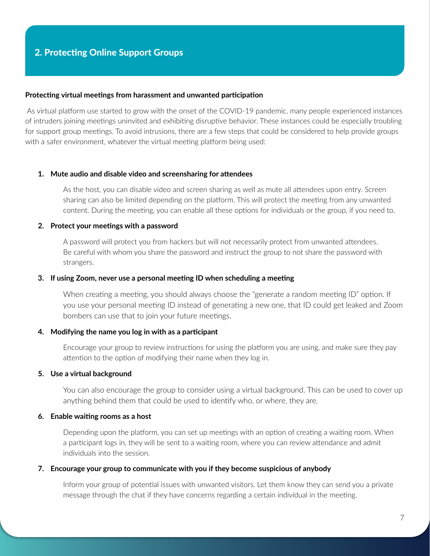#### <span id="page-7-0"></span>**Protecting virtual meetings from harassment and unwanted participation**

As virtual platform use started to grow with the onset of the COVID-19 pandemic, many people experienced instances of intruders joining meetings uninvited and exhibiting disruptive behavior. These instances could be especially troubling for support group meetings. To avoid intrusions, there are a few steps that could be considered to help provide groups with a safer environment, whatever the virtual meeting platform being used:

#### **1. Mute audio and disable video and screensharing for attendees**

As the host, you can disable video and screen sharing as well as mute all attendees upon entry. Screen sharing can also be limited depending on the platform. This will protect the meeting from any unwanted content. During the meeting, you can enable all these options for individuals or the group, if you need to.

#### **2. Protect your meetings with a password**

A password will protect you from hackers but will not necessarily protect from unwanted attendees. Be careful with whom you share the password and instruct the group to not share the password with strangers.

#### **3. If using Zoom, never use a personal meeting ID when scheduling a meeting**

When creating a meeting, you should always choose the "generate a random meeting ID" option. If you use your personal meeting ID instead of generating a new one, that ID could get leaked and Zoom bombers can use that to join your future meetings.

#### **4. Modifying the name you log in with as a participant**

Encourage your group to review instructions for using the platform you are using, and make sure they pay attention to the option of modifying their name when they log in.

#### **5. Use a virtual background**

You can also encourage the group to consider using a virtual background. This can be used to cover up anything behind them that could be used to identify who, or where, they are.

#### **6. Enable waiting rooms as a host**

Depending upon the platform, you can set up meetings with an option of creating a waiting room. When a participant logs in, they will be sent to a waiting room, where you can review attendance and admit individuals into the session.

#### **7. Encourage your group to communicate with you if they become suspicious of anybody**

Inform your group of potential issues with unwanted visitors. Let them know they can send you a private message through the chat if they have concerns regarding a certain individual in the meeting.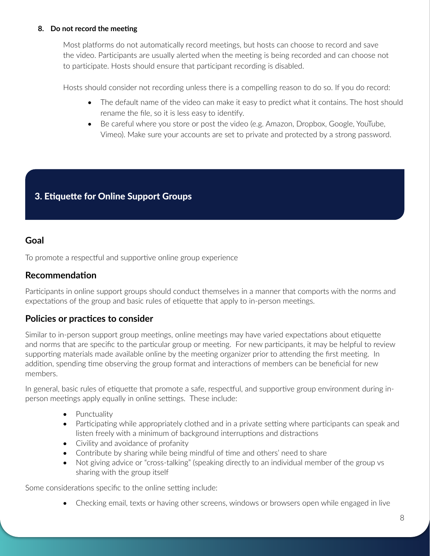### **8. Do not record the meeting**

Most platforms do not automatically record meetings, but hosts can choose to record and save the video. Participants are usually alerted when the meeting is being recorded and can choose not to participate. Hosts should ensure that participant recording is disabled.

Hosts should consider not recording unless there is a compelling reason to do so. If you do record:

- The default name of the video can make it easy to predict what it contains. The host should rename the file, so it is less easy to identify.
- Be careful where you store or post the video (e.g. Amazon, Dropbox, Google, YouTube, Vimeo). Make sure your accounts are set to private and protected by a strong password.

# <span id="page-8-0"></span>3. Etiquette for Online Support Groups

# **Goal**

To promote a respectful and supportive online group experience

### **Recommendation**

Participants in online support groups should conduct themselves in a manner that comports with the norms and expectations of the group and basic rules of etiquette that apply to in-person meetings.

# **Policies or practices to consider**

Similar to in-person support group meetings, online meetings may have varied expectations about etiquette and norms that are specific to the particular group or meeting. For new participants, it may be helpful to review supporting materials made available online by the meeting organizer prior to attending the first meeting. In addition, spending time observing the group format and interactions of members can be beneficial for new members.

In general, basic rules of etiquette that promote a safe, respectful, and supportive group environment during inperson meetings apply equally in online settings. These include:

- Punctuality
- Participating while appropriately clothed and in a private setting where participants can speak and listen freely with a minimum of background interruptions and distractions
- Civility and avoidance of profanity
- Contribute by sharing while being mindful of time and others' need to share
- Not giving advice or "cross-talking" (speaking directly to an individual member of the group vs sharing with the group itself

Some considerations specific to the online setting include:

• Checking email, texts or having other screens, windows or browsers open while engaged in live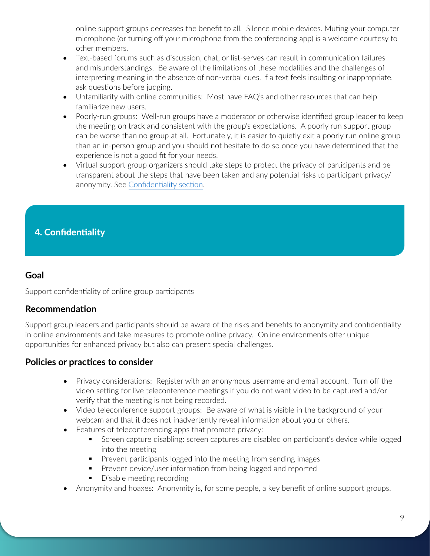online support groups decreases the benefit to all. Silence mobile devices. Muting your computer microphone (or turning off your microphone from the conferencing app) is a welcome courtesy to other members.

- Text-based forums such as discussion, chat, or list-serves can result in communication failures and misunderstandings. Be aware of the limitations of these modalities and the challenges of interpreting meaning in the absence of non-verbal cues. If a text feels insulting or inappropriate, ask questions before judging.
- Unfamiliarity with online communities: Most have FAQ's and other resources that can help familiarize new users.
- Poorly-run groups: Well-run groups have a moderator or otherwise identified group leader to keep the meeting on track and consistent with the group's expectations. A poorly run support group can be worse than no group at all. Fortunately, it is easier to quietly exit a poorly run online group than an in-person group and you should not hesitate to do so once you have determined that the experience is not a good fit for your needs.
- Virtual support group organizers should take steps to protect the privacy of participants and be transparent about the steps that have been taken and any potential risks to participant privacy/ anonymity. See Confidentiality section.

# <span id="page-9-0"></span>4. Confidentiality

### **Goal**

Support confidentiality of online group participants

### **Recommendation**

Support group leaders and participants should be aware of the risks and benefits to anonymity and confidentiality in online environments and take measures to promote online privacy. Online environments offer unique opportunities for enhanced privacy but also can present special challenges.

# **Policies or practices to consider**

- Privacy considerations: Register with an anonymous username and email account. Turn off the video setting for live teleconference meetings if you do not want video to be captured and/or verify that the meeting is not being recorded.
- Video teleconference support groups: Be aware of what is visible in the background of your webcam and that it does not inadvertently reveal information about you or others.
- Features of teleconferencing apps that promote privacy:
	- **Screen capture disabling: screen captures are disabled on participant's device while logged** into the meeting
	- **Prevent participants logged into the meeting from sending images**
	- **Prevent device/user information from being logged and reported**
	- **Disable meeting recording**
- Anonymity and hoaxes: Anonymity is, for some people, a key benefit of online support groups.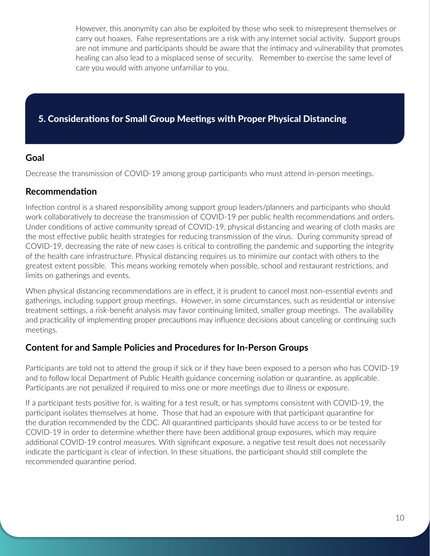However, this anonymity can also be exploited by those who seek to misrepresent themselves or carry out hoaxes. False representations are a risk with any internet social activity. Support groups are not immune and participants should be aware that the intimacy and vulnerability that promotes healing can also lead to a misplaced sense of security. Remember to exercise the same level of care you would with anyone unfamiliar to you.

# 5. Considerations for Small Group Meetings with Proper Physical Distancing

# <span id="page-10-0"></span>**Goal**

Decrease the transmission of COVID-19 among group participants who must attend in-person meetings.

# **Recommendation**

Infection control is a shared responsibility among support group leaders/planners and participants who should work collaboratively to decrease the transmission of COVID-19 per public health recommendations and orders. Under conditions of active community spread of COVID-19, physical distancing and wearing of cloth masks are the most effective public health strategies for reducing transmission of the virus. During community spread of COVID-19, decreasing the rate of new cases is critical to controlling the pandemic and supporting the integrity of the health care infrastructure. Physical distancing requires us to minimize our contact with others to the greatest extent possible. This means working remotely when possible, school and restaurant restrictions, and limits on gatherings and events.

When physical distancing recommendations are in effect, it is prudent to cancel most non-essential events and gatherings, including support group meetings. However, in some circumstances, such as residential or intensive treatment settings, a risk-benefit analysis may favor continuing limited, smaller group meetings. The availability and practicality of implementing proper precautions may influence decisions about canceling or continuing such meetings.

# **Content for and Sample Policies and Procedures for In-Person Groups**

Participants are told not to attend the group if sick or if they have been exposed to a person who has COVID-19 and to follow local Department of Public Health guidance concerning isolation or quarantine, as applicable. Participants are not penalized if required to miss one or more meetings due to illness or exposure.

If a participant tests positive for, is waiting for a test result, or has symptoms consistent with COVID-19, the participant isolates themselves at home. Those that had an exposure with that participant quarantine for the duration recommended by the CDC. All quarantined participants should have access to or be tested for COVID-19 in order to determine whether there have been additional group exposures, which may require additional COVID-19 control measures. With significant exposure, a negative test result does not necessarily indicate the participant is clear of infection. In these situations, the participant should still complete the recommended quarantine period.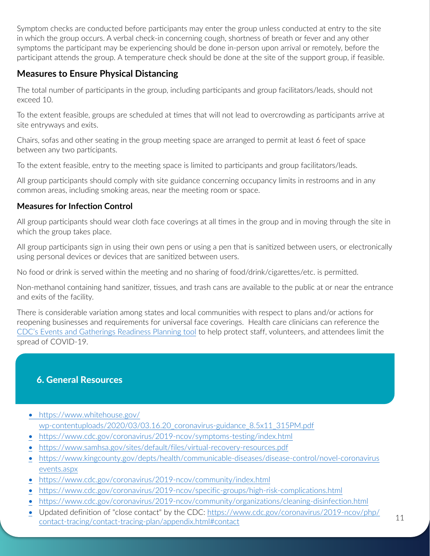<span id="page-11-0"></span>Symptom checks are conducted before participants may enter the group unless conducted at entry to the site in which the group occurs. A verbal check-in concerning cough, shortness of breath or fever and any other symptoms the participant may be experiencing should be done in-person upon arrival or remotely, before the participant attends the group. A temperature check should be done at the site of the support group, if feasible.

# **Measures to Ensure Physical Distancing**

The total number of participants in the group, including participants and group facilitators/leads, should not exceed 10.

To the extent feasible, groups are scheduled at times that will not lead to overcrowding as participants arrive at site entryways and exits.

Chairs, sofas and other seating in the group meeting space are arranged to permit at least 6 feet of space between any two participants.

To the extent feasible, entry to the meeting space is limited to participants and group facilitators/leads.

All group participants should comply with site guidance concerning occupancy limits in restrooms and in any common areas, including smoking areas, near the meeting room or space.

# **Measures for Infection Control**

All group participants should wear cloth face coverings at all times in the group and in moving through the site in which the group takes place.

All group participants sign in using their own pens or using a pen that is sanitized between users, or electronically using personal devices or devices that are sanitized between users.

No food or drink is served within the meeting and no sharing of food/drink/cigarettes/etc. is permitted.

Non-methanol containing hand sanitizer, tissues, and trash cans are available to the public at or near the entrance and exits of the facility.

There is considerable variation among states and local communities with respect to plans and/or actions for reopening businesses and requirements for universal face coverings. Health care clinicians can reference the [CDC's Events and Gatherings Readiness Planning tool](http://www.cdc.gov/coronavirus/2019-ncov/community/large-events/considerations-for-events-gatherings.html) to help protect staff, volunteers, and attendees limit the spread of COVID-19.

# 6. General Resources

- https://www.whitehouse.gov/ [wp-contentuploads/2020/03/03.16.20\\_coronavirus-guidance\\_8.5x11\\_315PM.pdf](https://www.whitehouse.gov/wp-content/uploads/2020/03/03.16.20_coronavirus-guidance_8.5x11_315PM.pdf)
- <https://www.cdc.gov/coronavirus/2019-ncov/symptoms-testing/index.html>
- <https://www.samhsa.gov/sites/default/files/virtual-recovery-resources.pdf>
- [https://www.kingcounty.gov/depts/health/communicable-diseases/disease-control/novel-coronavirus](https://www.kingcounty.gov/depts/health/communicable-diseases/disease-control/novel-coronavirus/events.aspx) events.aspx
- <https://www.cdc.gov/coronavirus/2019-ncov/community/index.html>
- <https://www.cdc.gov/coronavirus/2019-ncov/specific-groups/high-risk-complications.html>
- <https://www.cdc.gov/coronavirus/2019-ncov/community/organizations/cleaning-disinfection.html>
- [Updated definition of "close contact" by the CDC: https://www.cdc.gov/coronavirus/2019-ncov/php/](https://www.cdc.gov/coronavirus/2019-ncov/php/contact-tracing/contact-tracing-plan/appendix.html#contact) contact-tracing/contact-tracing-plan/appendix.html#contact